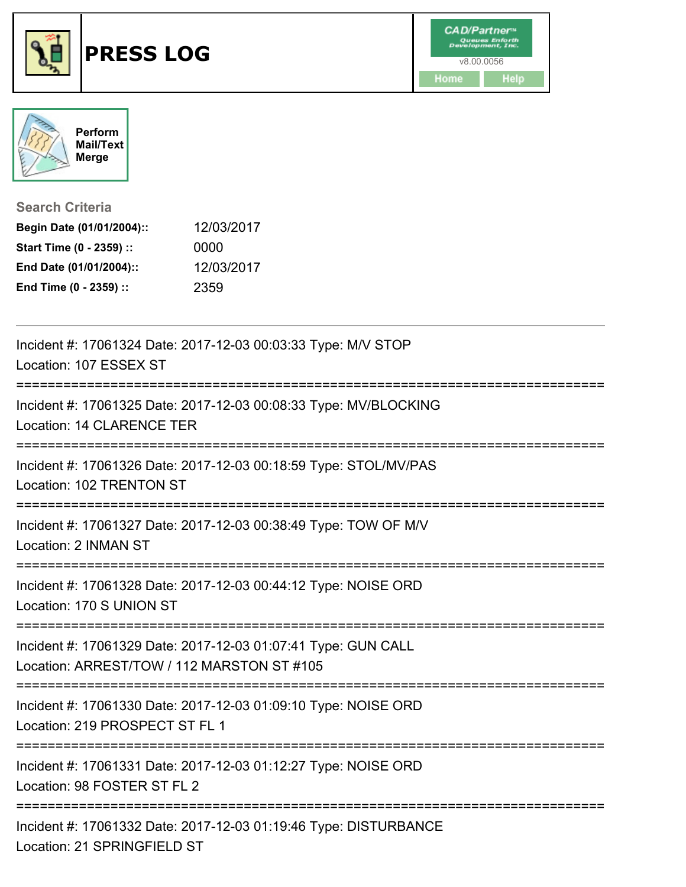



**Search Criteria**

| Begin Date (01/01/2004):: | 12/03/2017 |
|---------------------------|------------|
| Start Time (0 - 2359) ::  | 0000       |
| End Date (01/01/2004)::   | 12/03/2017 |
| End Time (0 - 2359) ::    | 2359       |

| Incident #: 17061324 Date: 2017-12-03 00:03:33 Type: M/V STOP<br>Location: 107 ESSEX ST                     |
|-------------------------------------------------------------------------------------------------------------|
| Incident #: 17061325 Date: 2017-12-03 00:08:33 Type: MV/BLOCKING<br><b>Location: 14 CLARENCE TER</b>        |
| Incident #: 17061326 Date: 2017-12-03 00:18:59 Type: STOL/MV/PAS<br>Location: 102 TRENTON ST                |
| Incident #: 17061327 Date: 2017-12-03 00:38:49 Type: TOW OF M/V<br>Location: 2 INMAN ST                     |
| Incident #: 17061328 Date: 2017-12-03 00:44:12 Type: NOISE ORD<br>Location: 170 S UNION ST                  |
| Incident #: 17061329 Date: 2017-12-03 01:07:41 Type: GUN CALL<br>Location: ARREST/TOW / 112 MARSTON ST #105 |
| Incident #: 17061330 Date: 2017-12-03 01:09:10 Type: NOISE ORD<br>Location: 219 PROSPECT ST FL 1            |
| Incident #: 17061331 Date: 2017-12-03 01:12:27 Type: NOISE ORD<br>Location: 98 FOSTER ST FL 2               |
| Incident #: 17061332 Date: 2017-12-03 01:19:46 Type: DISTURBANCE<br>Location: 21 SPRINGFIELD ST             |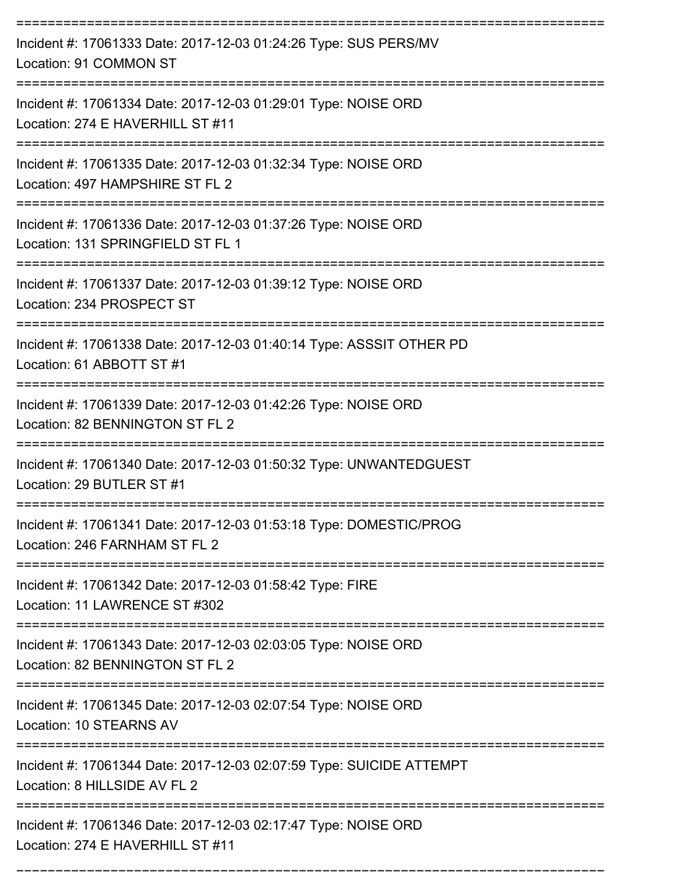| Incident #: 17061333 Date: 2017-12-03 01:24:26 Type: SUS PERS/MV<br>Location: 91 COMMON ST           |
|------------------------------------------------------------------------------------------------------|
| Incident #: 17061334 Date: 2017-12-03 01:29:01 Type: NOISE ORD<br>Location: 274 E HAVERHILL ST #11   |
| Incident #: 17061335 Date: 2017-12-03 01:32:34 Type: NOISE ORD<br>Location: 497 HAMPSHIRE ST FL 2    |
| Incident #: 17061336 Date: 2017-12-03 01:37:26 Type: NOISE ORD<br>Location: 131 SPRINGFIELD ST FL 1  |
| Incident #: 17061337 Date: 2017-12-03 01:39:12 Type: NOISE ORD<br>Location: 234 PROSPECT ST          |
| Incident #: 17061338 Date: 2017-12-03 01:40:14 Type: ASSSIT OTHER PD<br>Location: 61 ABBOTT ST #1    |
| Incident #: 17061339 Date: 2017-12-03 01:42:26 Type: NOISE ORD<br>Location: 82 BENNINGTON ST FL 2    |
| Incident #: 17061340 Date: 2017-12-03 01:50:32 Type: UNWANTEDGUEST<br>Location: 29 BUTLER ST #1      |
| Incident #: 17061341 Date: 2017-12-03 01:53:18 Type: DOMESTIC/PROG<br>Location: 246 FARNHAM ST FL 2  |
| Incident #: 17061342 Date: 2017-12-03 01:58:42 Type: FIRE<br>Location: 11 LAWRENCE ST #302           |
| Incident #: 17061343 Date: 2017-12-03 02:03:05 Type: NOISE ORD<br>Location: 82 BENNINGTON ST FL 2    |
| Incident #: 17061345 Date: 2017-12-03 02:07:54 Type: NOISE ORD<br>Location: 10 STEARNS AV            |
| Incident #: 17061344 Date: 2017-12-03 02:07:59 Type: SUICIDE ATTEMPT<br>Location: 8 HILLSIDE AV FL 2 |
| Incident #: 17061346 Date: 2017-12-03 02:17:47 Type: NOISE ORD<br>Location: 274 E HAVERHILL ST #11   |

===========================================================================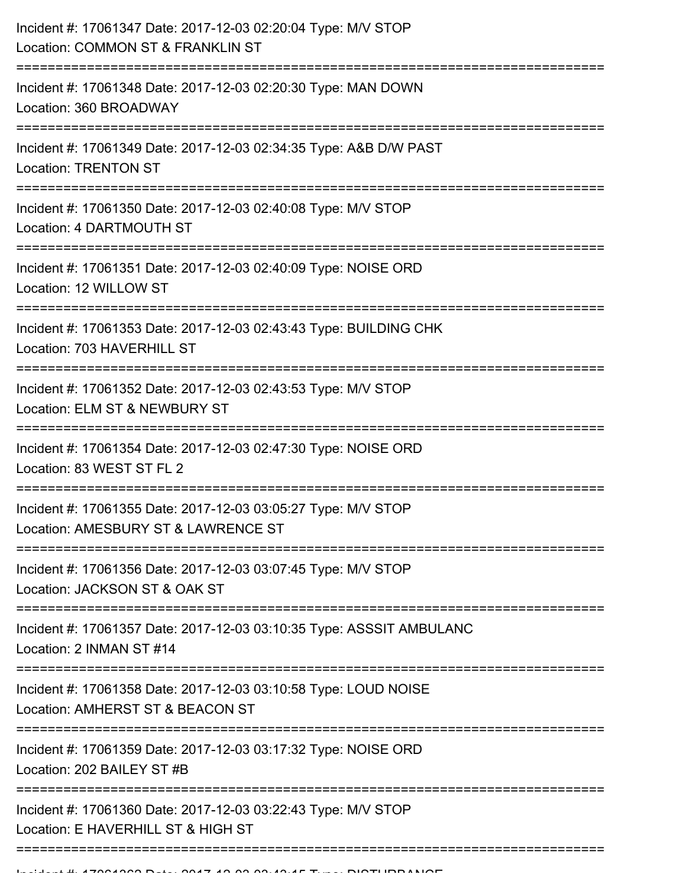| Incident #: 17061347 Date: 2017-12-03 02:20:04 Type: M/V STOP<br>Location: COMMON ST & FRANKLIN ST   |
|------------------------------------------------------------------------------------------------------|
| Incident #: 17061348 Date: 2017-12-03 02:20:30 Type: MAN DOWN<br>Location: 360 BROADWAY              |
| Incident #: 17061349 Date: 2017-12-03 02:34:35 Type: A&B D/W PAST<br><b>Location: TRENTON ST</b>     |
| Incident #: 17061350 Date: 2017-12-03 02:40:08 Type: M/V STOP<br>Location: 4 DARTMOUTH ST            |
| Incident #: 17061351 Date: 2017-12-03 02:40:09 Type: NOISE ORD<br>Location: 12 WILLOW ST             |
| Incident #: 17061353 Date: 2017-12-03 02:43:43 Type: BUILDING CHK<br>Location: 703 HAVERHILL ST      |
| Incident #: 17061352 Date: 2017-12-03 02:43:53 Type: M/V STOP<br>Location: ELM ST & NEWBURY ST       |
| Incident #: 17061354 Date: 2017-12-03 02:47:30 Type: NOISE ORD<br>Location: 83 WEST ST FL 2          |
| Incident #: 17061355 Date: 2017-12-03 03:05:27 Type: M/V STOP<br>Location: AMESBURY ST & LAWRENCE ST |
| Incident #: 17061356 Date: 2017-12-03 03:07:45 Type: M/V STOP<br>Location: JACKSON ST & OAK ST       |
| Incident #: 17061357 Date: 2017-12-03 03:10:35 Type: ASSSIT AMBULANC<br>Location: 2 INMAN ST #14     |
| Incident #: 17061358 Date: 2017-12-03 03:10:58 Type: LOUD NOISE<br>Location: AMHERST ST & BEACON ST  |
| Incident #: 17061359 Date: 2017-12-03 03:17:32 Type: NOISE ORD<br>Location: 202 BAILEY ST #B         |
| Incident #: 17061360 Date: 2017-12-03 03:22:43 Type: M/V STOP<br>Location: E HAVERHILL ST & HIGH ST  |
|                                                                                                      |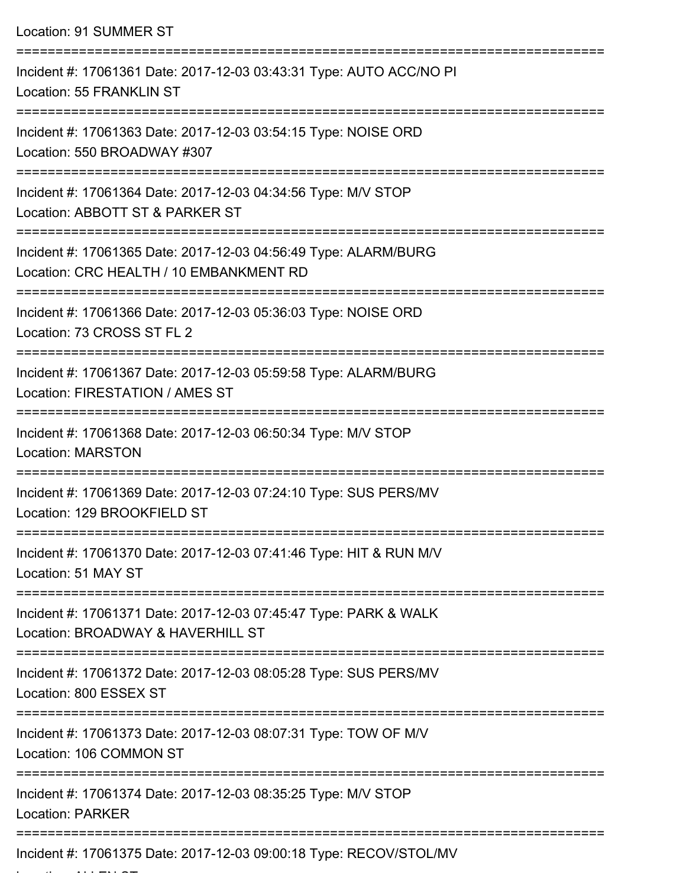| Location: 91 SUMMER ST                                                                                                                                                       |
|------------------------------------------------------------------------------------------------------------------------------------------------------------------------------|
| Incident #: 17061361 Date: 2017-12-03 03:43:31 Type: AUTO ACC/NO PI<br>Location: 55 FRANKLIN ST                                                                              |
| Incident #: 17061363 Date: 2017-12-03 03:54:15 Type: NOISE ORD<br>Location: 550 BROADWAY #307                                                                                |
| Incident #: 17061364 Date: 2017-12-03 04:34:56 Type: M/V STOP<br>Location: ABBOTT ST & PARKER ST                                                                             |
| Incident #: 17061365 Date: 2017-12-03 04:56:49 Type: ALARM/BURG<br>Location: CRC HEALTH / 10 EMBANKMENT RD<br>-----------------------------<br>----------------------------- |
| Incident #: 17061366 Date: 2017-12-03 05:36:03 Type: NOISE ORD<br>Location: 73 CROSS ST FL 2                                                                                 |
| Incident #: 17061367 Date: 2017-12-03 05:59:58 Type: ALARM/BURG<br>Location: FIRESTATION / AMES ST                                                                           |
| Incident #: 17061368 Date: 2017-12-03 06:50:34 Type: M/V STOP<br><b>Location: MARSTON</b>                                                                                    |
| Incident #: 17061369 Date: 2017-12-03 07:24:10 Type: SUS PERS/MV<br>Location: 129 BROOKFIELD ST                                                                              |
| Incident #: 17061370 Date: 2017-12-03 07:41:46 Type: HIT & RUN M/V<br>Location: 51 MAY ST                                                                                    |
| Incident #: 17061371 Date: 2017-12-03 07:45:47 Type: PARK & WALK<br>Location: BROADWAY & HAVERHILL ST                                                                        |
| Incident #: 17061372 Date: 2017-12-03 08:05:28 Type: SUS PERS/MV<br>Location: 800 ESSEX ST                                                                                   |
| Incident #: 17061373 Date: 2017-12-03 08:07:31 Type: TOW OF M/V<br>Location: 106 COMMON ST                                                                                   |
| Incident #: 17061374 Date: 2017-12-03 08:35:25 Type: M/V STOP<br><b>Location: PARKER</b>                                                                                     |
| Incident #: 17061375 Date: 2017-12-03 09:00:18 Type: RECOV/STOL/MV                                                                                                           |

Location: ALLEN ST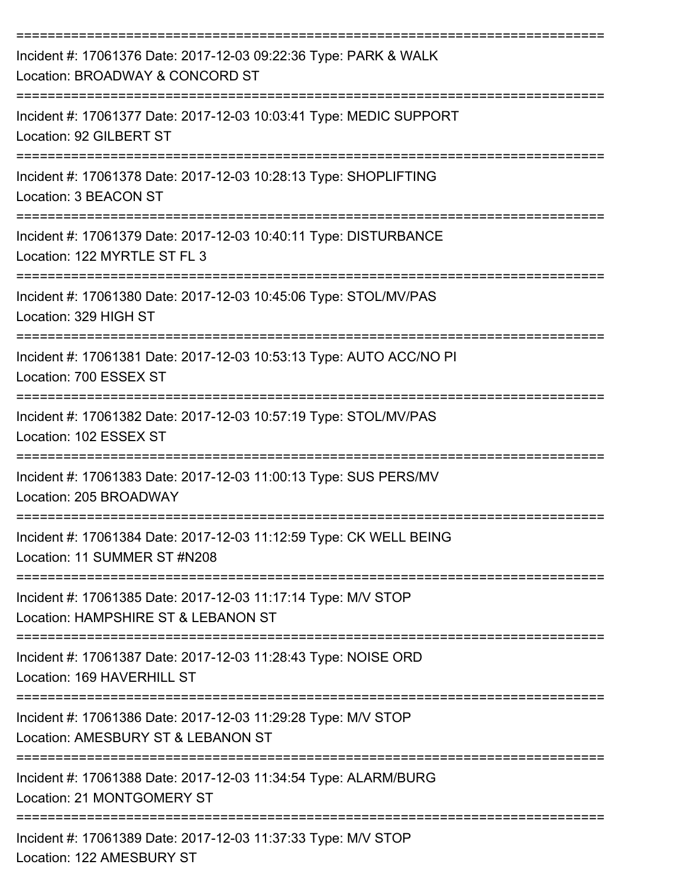| Incident #: 17061376 Date: 2017-12-03 09:22:36 Type: PARK & WALK<br>Location: BROADWAY & CONCORD ST                                         |
|---------------------------------------------------------------------------------------------------------------------------------------------|
| Incident #: 17061377 Date: 2017-12-03 10:03:41 Type: MEDIC SUPPORT<br>Location: 92 GILBERT ST                                               |
| Incident #: 17061378 Date: 2017-12-03 10:28:13 Type: SHOPLIFTING<br>Location: 3 BEACON ST                                                   |
| Incident #: 17061379 Date: 2017-12-03 10:40:11 Type: DISTURBANCE<br>Location: 122 MYRTLE ST FL 3                                            |
| Incident #: 17061380 Date: 2017-12-03 10:45:06 Type: STOL/MV/PAS<br>Location: 329 HIGH ST                                                   |
| Incident #: 17061381 Date: 2017-12-03 10:53:13 Type: AUTO ACC/NO PI<br>Location: 700 ESSEX ST                                               |
| Incident #: 17061382 Date: 2017-12-03 10:57:19 Type: STOL/MV/PAS<br>Location: 102 ESSEX ST                                                  |
| Incident #: 17061383 Date: 2017-12-03 11:00:13 Type: SUS PERS/MV<br>Location: 205 BROADWAY                                                  |
| Incident #: 17061384 Date: 2017-12-03 11:12:59 Type: CK WELL BEING<br>Location: 11 SUMMER ST #N208                                          |
| -----------------------------<br>Incident #: 17061385 Date: 2017-12-03 11:17:14 Type: M/V STOP<br>Location: HAMPSHIRE ST & LEBANON ST       |
| Incident #: 17061387 Date: 2017-12-03 11:28:43 Type: NOISE ORD<br>Location: 169 HAVERHILL ST                                                |
| ====================================<br>Incident #: 17061386 Date: 2017-12-03 11:29:28 Type: M/V STOP<br>Location: AMESBURY ST & LEBANON ST |
| Incident #: 17061388 Date: 2017-12-03 11:34:54 Type: ALARM/BURG<br>Location: 21 MONTGOMERY ST                                               |
| Incident #: 17061389 Date: 2017-12-03 11:37:33 Type: M/V STOP<br>Location: 122 AMESBURY ST                                                  |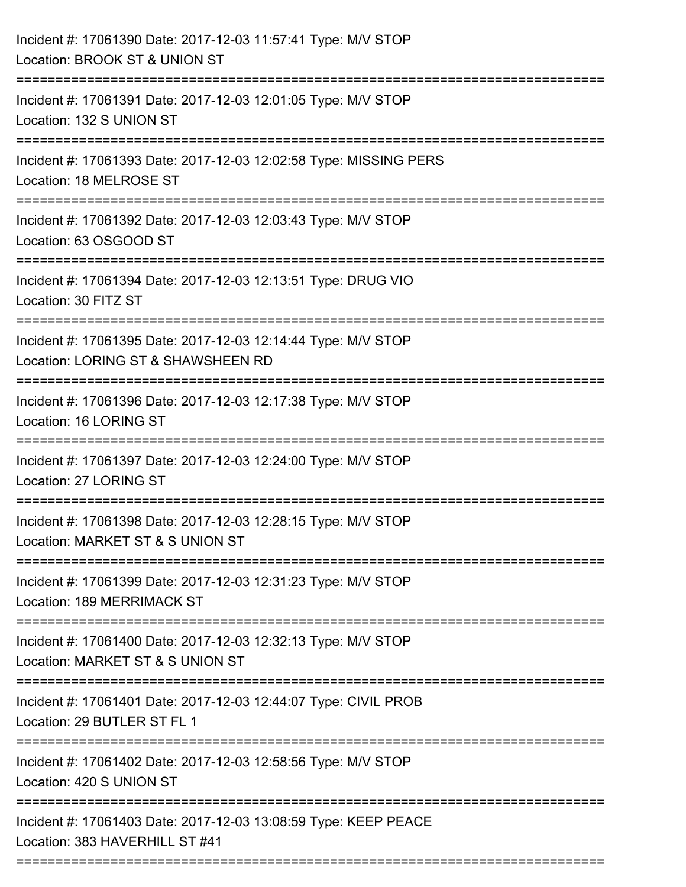| Incident #: 17061390 Date: 2017-12-03 11:57:41 Type: M/V STOP<br>Location: BROOK ST & UNION ST      |
|-----------------------------------------------------------------------------------------------------|
| Incident #: 17061391 Date: 2017-12-03 12:01:05 Type: M/V STOP<br>Location: 132 S UNION ST           |
| Incident #: 17061393 Date: 2017-12-03 12:02:58 Type: MISSING PERS<br>Location: 18 MELROSE ST        |
| Incident #: 17061392 Date: 2017-12-03 12:03:43 Type: M/V STOP<br>Location: 63 OSGOOD ST             |
| Incident #: 17061394 Date: 2017-12-03 12:13:51 Type: DRUG VIO<br>Location: 30 FITZ ST               |
| Incident #: 17061395 Date: 2017-12-03 12:14:44 Type: M/V STOP<br>Location: LORING ST & SHAWSHEEN RD |
| Incident #: 17061396 Date: 2017-12-03 12:17:38 Type: M/V STOP<br>Location: 16 LORING ST             |
| Incident #: 17061397 Date: 2017-12-03 12:24:00 Type: M/V STOP<br>Location: 27 LORING ST             |
| Incident #: 17061398 Date: 2017-12-03 12:28:15 Type: M/V STOP<br>Location: MARKET ST & S UNION ST   |
| Incident #: 17061399 Date: 2017-12-03 12:31:23 Type: M/V STOP<br>Location: 189 MERRIMACK ST         |
| Incident #: 17061400 Date: 2017-12-03 12:32:13 Type: M/V STOP<br>Location: MARKET ST & S UNION ST   |
| Incident #: 17061401 Date: 2017-12-03 12:44:07 Type: CIVIL PROB<br>Location: 29 BUTLER ST FL 1      |
| Incident #: 17061402 Date: 2017-12-03 12:58:56 Type: M/V STOP<br>Location: 420 S UNION ST           |
| Incident #: 17061403 Date: 2017-12-03 13:08:59 Type: KEEP PEACE<br>Location: 383 HAVERHILL ST #41   |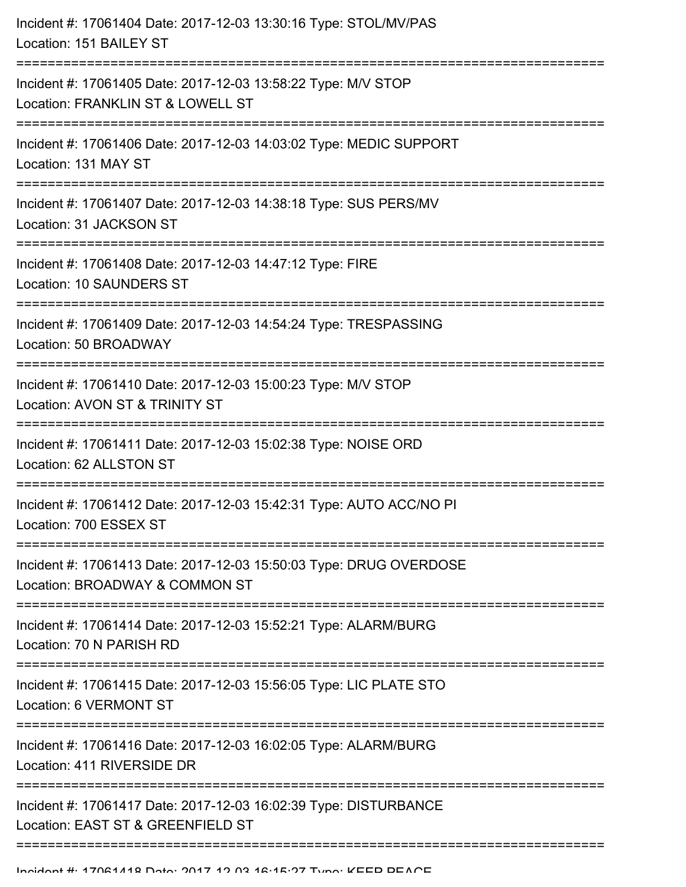| Incident #: 17061404 Date: 2017-12-03 13:30:16 Type: STOL/MV/PAS<br>Location: 151 BAILEY ST                                                |
|--------------------------------------------------------------------------------------------------------------------------------------------|
| Incident #: 17061405 Date: 2017-12-03 13:58:22 Type: M/V STOP<br>Location: FRANKLIN ST & LOWELL ST<br>;=================================== |
| Incident #: 17061406 Date: 2017-12-03 14:03:02 Type: MEDIC SUPPORT<br>Location: 131 MAY ST                                                 |
| Incident #: 17061407 Date: 2017-12-03 14:38:18 Type: SUS PERS/MV<br>Location: 31 JACKSON ST                                                |
| Incident #: 17061408 Date: 2017-12-03 14:47:12 Type: FIRE<br>Location: 10 SAUNDERS ST                                                      |
| Incident #: 17061409 Date: 2017-12-03 14:54:24 Type: TRESPASSING<br>Location: 50 BROADWAY                                                  |
| Incident #: 17061410 Date: 2017-12-03 15:00:23 Type: M/V STOP<br>Location: AVON ST & TRINITY ST                                            |
| Incident #: 17061411 Date: 2017-12-03 15:02:38 Type: NOISE ORD<br>Location: 62 ALLSTON ST                                                  |
| Incident #: 17061412 Date: 2017-12-03 15:42:31 Type: AUTO ACC/NO PI<br>Location: 700 ESSEX ST                                              |
| Incident #: 17061413 Date: 2017-12-03 15:50:03 Type: DRUG OVERDOSE<br>Location: BROADWAY & COMMON ST                                       |
| Incident #: 17061414 Date: 2017-12-03 15:52:21 Type: ALARM/BURG<br>Location: 70 N PARISH RD                                                |
| Incident #: 17061415 Date: 2017-12-03 15:56:05 Type: LIC PLATE STO<br>Location: 6 VERMONT ST                                               |
| Incident #: 17061416 Date: 2017-12-03 16:02:05 Type: ALARM/BURG<br>Location: 411 RIVERSIDE DR                                              |
| Incident #: 17061417 Date: 2017-12-03 16:02:39 Type: DISTURBANCE<br>Location: EAST ST & GREENFIELD ST                                      |
|                                                                                                                                            |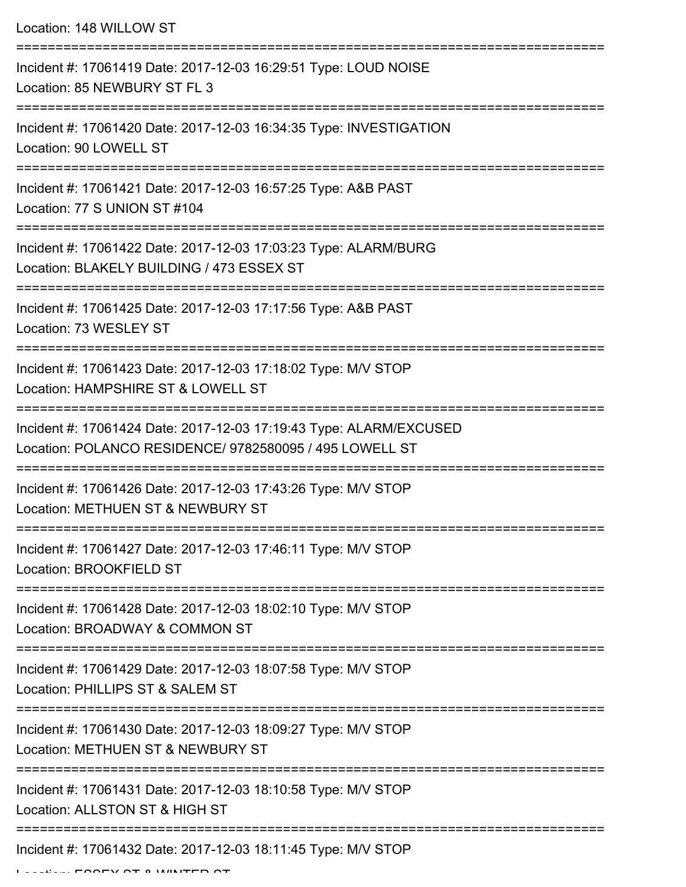Location: 148 WILLOW ST

| Incident #: 17061419 Date: 2017-12-03 16:29:51 Type: LOUD NOISE<br>Location: 85 NEWBURY ST FL 3                                                  |
|--------------------------------------------------------------------------------------------------------------------------------------------------|
| Incident #: 17061420 Date: 2017-12-03 16:34:35 Type: INVESTIGATION<br>Location: 90 LOWELL ST                                                     |
| Incident #: 17061421 Date: 2017-12-03 16:57:25 Type: A&B PAST<br>Location: 77 S UNION ST #104                                                    |
| Incident #: 17061422 Date: 2017-12-03 17:03:23 Type: ALARM/BURG<br>Location: BLAKELY BUILDING / 473 ESSEX ST                                     |
| Incident #: 17061425 Date: 2017-12-03 17:17:56 Type: A&B PAST<br>Location: 73 WESLEY ST                                                          |
| Incident #: 17061423 Date: 2017-12-03 17:18:02 Type: M/V STOP<br>Location: HAMPSHIRE ST & LOWELL ST                                              |
| Incident #: 17061424 Date: 2017-12-03 17:19:43 Type: ALARM/EXCUSED<br>Location: POLANCO RESIDENCE/ 9782580095 / 495 LOWELL ST<br>:============== |
| Incident #: 17061426 Date: 2017-12-03 17:43:26 Type: M/V STOP<br>Location: METHUEN ST & NEWBURY ST                                               |
| Incident #: 17061427 Date: 2017-12-03 17:46:11 Type: M/V STOP<br>Location: BROOKFIELD ST                                                         |
| Incident #: 17061428 Date: 2017-12-03 18:02:10 Type: M/V STOP<br>Location: BROADWAY & COMMON ST                                                  |
| Incident #: 17061429 Date: 2017-12-03 18:07:58 Type: M/V STOP<br>Location: PHILLIPS ST & SALEM ST                                                |
| Incident #: 17061430 Date: 2017-12-03 18:09:27 Type: M/V STOP<br>Location: METHUEN ST & NEWBURY ST                                               |
| Incident #: 17061431 Date: 2017-12-03 18:10:58 Type: M/V STOP<br>Location: ALLSTON ST & HIGH ST                                                  |
| Incident #: 17061432 Date: 2017-12-03 18:11:45 Type: M/V STOP                                                                                    |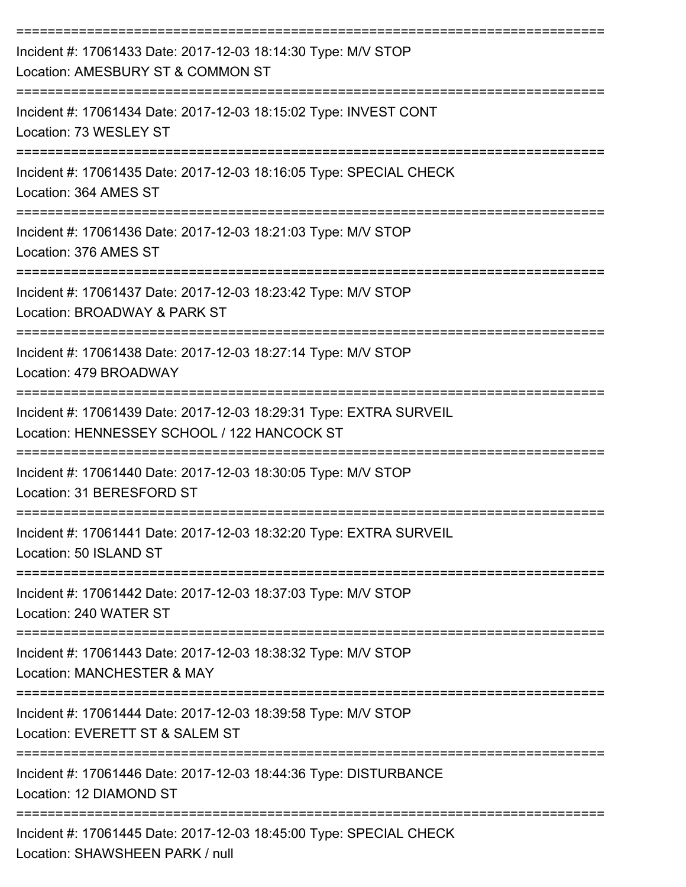| Incident #: 17061433 Date: 2017-12-03 18:14:30 Type: M/V STOP<br>Location: AMESBURY ST & COMMON ST                                                             |
|----------------------------------------------------------------------------------------------------------------------------------------------------------------|
| Incident #: 17061434 Date: 2017-12-03 18:15:02 Type: INVEST CONT<br>Location: 73 WESLEY ST                                                                     |
| Incident #: 17061435 Date: 2017-12-03 18:16:05 Type: SPECIAL CHECK<br>Location: 364 AMES ST                                                                    |
| Incident #: 17061436 Date: 2017-12-03 18:21:03 Type: M/V STOP<br>Location: 376 AMES ST                                                                         |
| Incident #: 17061437 Date: 2017-12-03 18:23:42 Type: M/V STOP<br>Location: BROADWAY & PARK ST                                                                  |
| Incident #: 17061438 Date: 2017-12-03 18:27:14 Type: M/V STOP<br>Location: 479 BROADWAY                                                                        |
| Incident #: 17061439 Date: 2017-12-03 18:29:31 Type: EXTRA SURVEIL<br>Location: HENNESSEY SCHOOL / 122 HANCOCK ST                                              |
| Incident #: 17061440 Date: 2017-12-03 18:30:05 Type: M/V STOP<br>Location: 31 BERESFORD ST                                                                     |
| Incident #: 17061441 Date: 2017-12-03 18:32:20 Type: EXTRA SURVEIL<br>Location: 50 ISLAND ST                                                                   |
| ----------------------------------<br>--------=====================<br>Incident #: 17061442 Date: 2017-12-03 18:37:03 Type: M/V STOP<br>Location: 240 WATER ST |
| Incident #: 17061443 Date: 2017-12-03 18:38:32 Type: M/V STOP<br>Location: MANCHESTER & MAY                                                                    |
| Incident #: 17061444 Date: 2017-12-03 18:39:58 Type: M/V STOP<br>Location: EVERETT ST & SALEM ST                                                               |
| Incident #: 17061446 Date: 2017-12-03 18:44:36 Type: DISTURBANCE<br>Location: 12 DIAMOND ST                                                                    |
| Incident #: 17061445 Date: 2017-12-03 18:45:00 Type: SPECIAL CHECK<br>Location: SHAWSHEEN PARK / null                                                          |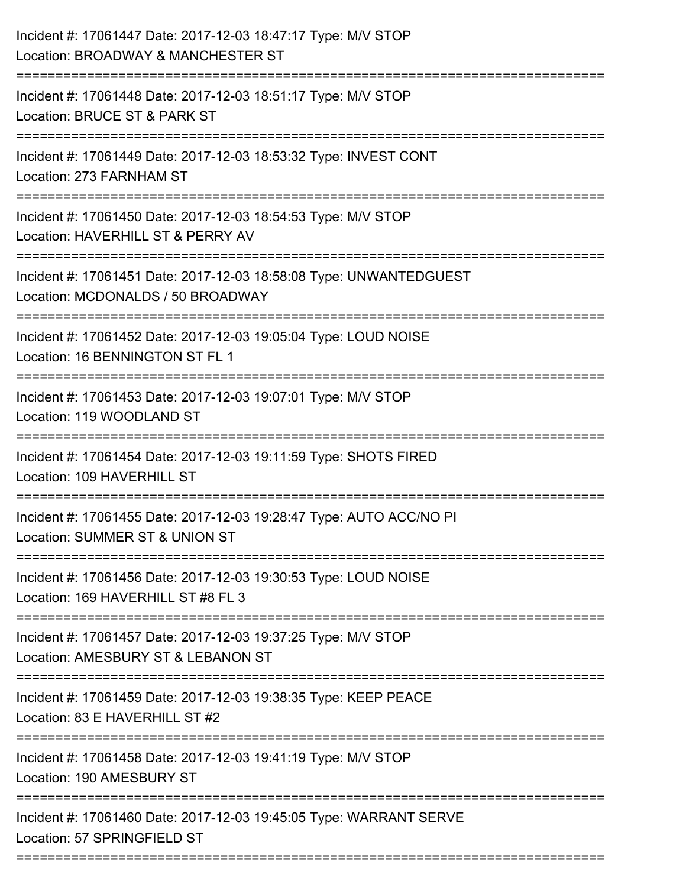| Incident #: 17061447 Date: 2017-12-03 18:47:17 Type: M/V STOP<br>Location: BROADWAY & MANCHESTER ST     |
|---------------------------------------------------------------------------------------------------------|
| Incident #: 17061448 Date: 2017-12-03 18:51:17 Type: M/V STOP<br>Location: BRUCE ST & PARK ST           |
| Incident #: 17061449 Date: 2017-12-03 18:53:32 Type: INVEST CONT<br>Location: 273 FARNHAM ST            |
| Incident #: 17061450 Date: 2017-12-03 18:54:53 Type: M/V STOP<br>Location: HAVERHILL ST & PERRY AV      |
| Incident #: 17061451 Date: 2017-12-03 18:58:08 Type: UNWANTEDGUEST<br>Location: MCDONALDS / 50 BROADWAY |
| Incident #: 17061452 Date: 2017-12-03 19:05:04 Type: LOUD NOISE<br>Location: 16 BENNINGTON ST FL 1      |
| Incident #: 17061453 Date: 2017-12-03 19:07:01 Type: M/V STOP<br>Location: 119 WOODLAND ST              |
| Incident #: 17061454 Date: 2017-12-03 19:11:59 Type: SHOTS FIRED<br>Location: 109 HAVERHILL ST          |
| Incident #: 17061455 Date: 2017-12-03 19:28:47 Type: AUTO ACC/NO PI<br>Location: SUMMER ST & UNION ST   |
| Incident #: 17061456 Date: 2017-12-03 19:30:53 Type: LOUD NOISE<br>Location: 169 HAVERHILL ST #8 FL 3   |
| Incident #: 17061457 Date: 2017-12-03 19:37:25 Type: M/V STOP<br>Location: AMESBURY ST & LEBANON ST     |
| Incident #: 17061459 Date: 2017-12-03 19:38:35 Type: KEEP PEACE<br>Location: 83 E HAVERHILL ST #2       |
| Incident #: 17061458 Date: 2017-12-03 19:41:19 Type: M/V STOP<br>Location: 190 AMESBURY ST              |
| Incident #: 17061460 Date: 2017-12-03 19:45:05 Type: WARRANT SERVE<br>Location: 57 SPRINGFIELD ST       |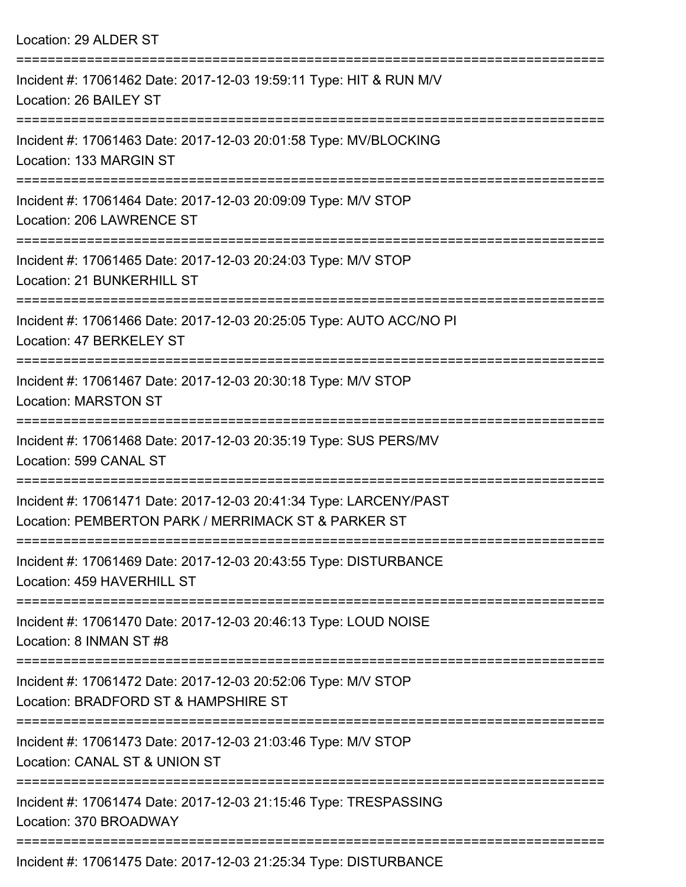| Location: 29 ALDER ST                                                                                                    |
|--------------------------------------------------------------------------------------------------------------------------|
| Incident #: 17061462 Date: 2017-12-03 19:59:11 Type: HIT & RUN M/V<br>Location: 26 BAILEY ST                             |
| Incident #: 17061463 Date: 2017-12-03 20:01:58 Type: MV/BLOCKING<br>Location: 133 MARGIN ST                              |
| Incident #: 17061464 Date: 2017-12-03 20:09:09 Type: M/V STOP<br>Location: 206 LAWRENCE ST                               |
| Incident #: 17061465 Date: 2017-12-03 20:24:03 Type: M/V STOP<br>Location: 21 BUNKERHILL ST                              |
| Incident #: 17061466 Date: 2017-12-03 20:25:05 Type: AUTO ACC/NO PI<br>Location: 47 BERKELEY ST                          |
| Incident #: 17061467 Date: 2017-12-03 20:30:18 Type: M/V STOP<br><b>Location: MARSTON ST</b>                             |
| Incident #: 17061468 Date: 2017-12-03 20:35:19 Type: SUS PERS/MV<br>Location: 599 CANAL ST                               |
| Incident #: 17061471 Date: 2017-12-03 20:41:34 Type: LARCENY/PAST<br>Location: PEMBERTON PARK / MERRIMACK ST & PARKER ST |
| Incident #: 17061469 Date: 2017-12-03 20:43:55 Type: DISTURBANCE<br>Location: 459 HAVERHILL ST                           |
| Incident #: 17061470 Date: 2017-12-03 20:46:13 Type: LOUD NOISE<br>Location: 8 INMAN ST #8                               |
| Incident #: 17061472 Date: 2017-12-03 20:52:06 Type: M/V STOP<br>Location: BRADFORD ST & HAMPSHIRE ST                    |
| Incident #: 17061473 Date: 2017-12-03 21:03:46 Type: M/V STOP<br>Location: CANAL ST & UNION ST                           |
| Incident #: 17061474 Date: 2017-12-03 21:15:46 Type: TRESPASSING<br>Location: 370 BROADWAY                               |
| Incident #: 17061475 Date: 2017-12-03 21:25:34 Type: DISTURBANCE                                                         |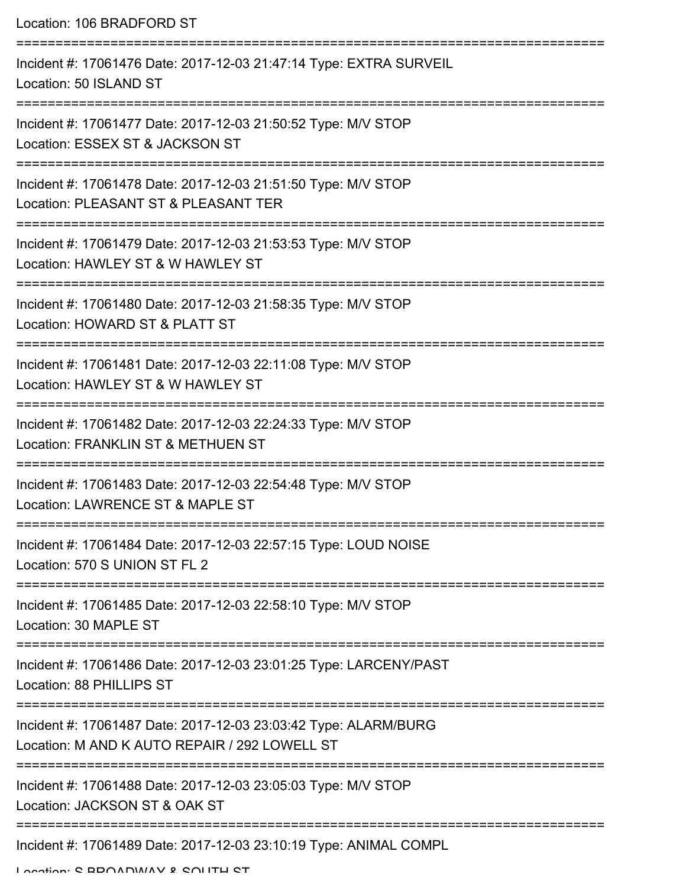Location: 106 BRADFORD ST

| Incident #: 17061476 Date: 2017-12-03 21:47:14 Type: EXTRA SURVEIL<br>Location: 50 ISLAND ST                                      |
|-----------------------------------------------------------------------------------------------------------------------------------|
| Incident #: 17061477 Date: 2017-12-03 21:50:52 Type: M/V STOP<br>Location: ESSEX ST & JACKSON ST                                  |
| Incident #: 17061478 Date: 2017-12-03 21:51:50 Type: M/V STOP<br>Location: PLEASANT ST & PLEASANT TER                             |
| Incident #: 17061479 Date: 2017-12-03 21:53:53 Type: M/V STOP<br>Location: HAWLEY ST & W HAWLEY ST                                |
| Incident #: 17061480 Date: 2017-12-03 21:58:35 Type: M/V STOP<br>Location: HOWARD ST & PLATT ST                                   |
| Incident #: 17061481 Date: 2017-12-03 22:11:08 Type: M/V STOP<br>Location: HAWLEY ST & W HAWLEY ST                                |
| Incident #: 17061482 Date: 2017-12-03 22:24:33 Type: M/V STOP<br>Location: FRANKLIN ST & METHUEN ST                               |
| Incident #: 17061483 Date: 2017-12-03 22:54:48 Type: M/V STOP<br>Location: LAWRENCE ST & MAPLE ST                                 |
| Incident #: 17061484 Date: 2017-12-03 22:57:15 Type: LOUD NOISE<br>Location: 570 S UNION ST FL 2                                  |
| Incident #: 17061485 Date: 2017-12-03 22:58:10 Type: M/V STOP<br>Location: 30 MAPLE ST                                            |
| Incident #: 17061486 Date: 2017-12-03 23:01:25 Type: LARCENY/PAST<br>Location: 88 PHILLIPS ST                                     |
| Incident #: 17061487 Date: 2017-12-03 23:03:42 Type: ALARM/BURG<br>Location: M AND K AUTO REPAIR / 292 LOWELL ST                  |
| Incident #: 17061488 Date: 2017-12-03 23:05:03 Type: M/V STOP<br>Location: JACKSON ST & OAK ST<br>------------------------------- |
| Incident #: 17061489 Date: 2017-12-03 23:10:19 Type: ANIMAL COMPL                                                                 |